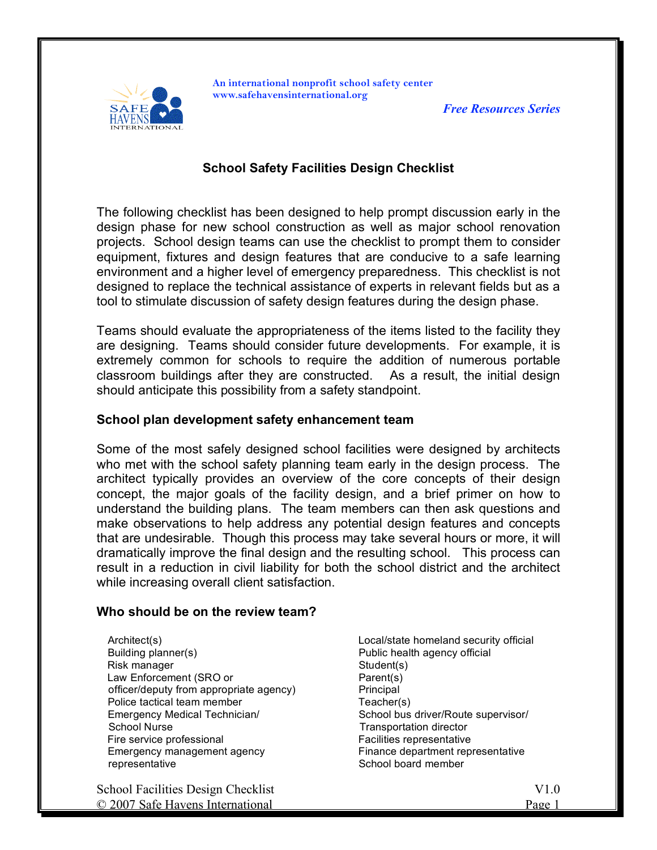

**An international nonprofit school safety center www.safehavensinternational.org**

*Free Resources Series*

# **School Safety Facilities Design Checklist**

The following checklist has been designed to help prompt discussion early in the design phase for new school construction as well as major school renovation projects. School design teams can use the checklist to prompt them to consider equipment, fixtures and design features that are conducive to a safe learning environment and a higher level of emergency preparedness. This checklist is not designed to replace the technical assistance of experts in relevant fields but as a tool to stimulate discussion of safety design features during the design phase.

Teams should evaluate the appropriateness of the items listed to the facility they are designing. Teams should consider future developments. For example, it is extremely common for schools to require the addition of numerous portable classroom buildings after they are constructed. As a result, the initial design should anticipate this possibility from a safety standpoint.

### **School plan development safety enhancement team**

Some of the most safely designed school facilities were designed by architects who met with the school safety planning team early in the design process. The architect typically provides an overview of the core concepts of their design concept, the major goals of the facility design, and a brief primer on how to understand the building plans. The team members can then ask questions and make observations to help address any potential design features and concepts that are undesirable. Though this process may take several hours or more, it will dramatically improve the final design and the resulting school. This process can result in a reduction in civil liability for both the school district and the architect while increasing overall client satisfaction.

#### **Who should be on the review team?**

 Architect(s) Building planner(s) Risk manager Law Enforcement (SRO or officer/deputy from appropriate agency) Police tactical team member Emergency Medical Technician/ School Nurse Fire service professional Emergency management agency representative

School Facilities Design Checklist V1.0 © 2007 Safe Havens International **Page 1** and Page 1

 Local/state homeland security official Public health agency official Student(s) Parent(s) Principal Teacher(s) School bus driver/Route supervisor/ Transportation director Facilities representative Finance department representative School board member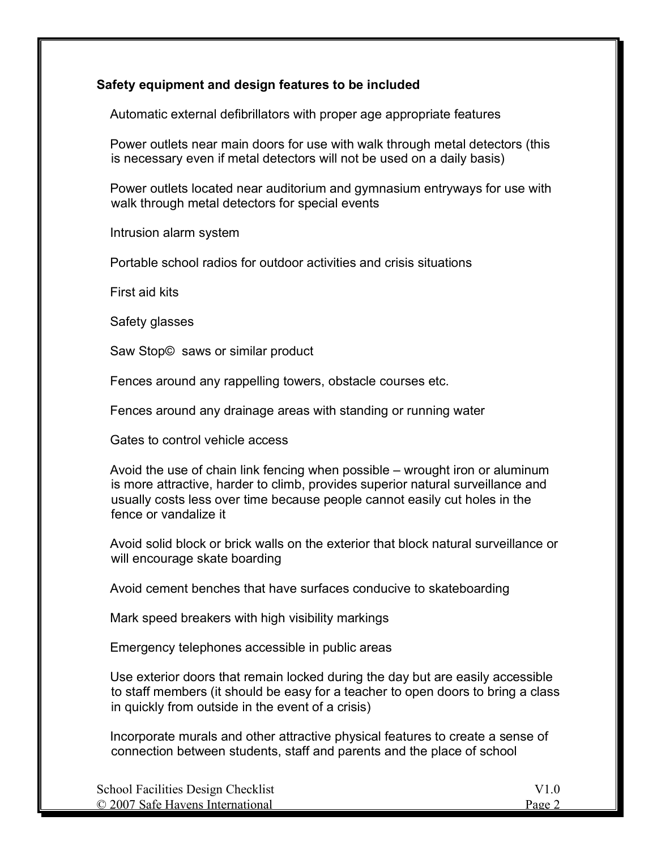## **Safety equipment and design features to be included**

Automatic external defibrillators with proper age appropriate features

 Power outlets near main doors for use with walk through metal detectors (this is necessary even if metal detectors will not be used on a daily basis)

 Power outlets located near auditorium and gymnasium entryways for use with walk through metal detectors for special events

Intrusion alarm system

Portable school radios for outdoor activities and crisis situations

First aid kits

Safety glasses

Saw Stop© saws or similar product

Fences around any rappelling towers, obstacle courses etc.

Fences around any drainage areas with standing or running water

Gates to control vehicle access

 Avoid the use of chain link fencing when possible – wrought iron or aluminum is more attractive, harder to climb, provides superior natural surveillance and usually costs less over time because people cannot easily cut holes in the fence or vandalize it

 Avoid solid block or brick walls on the exterior that block natural surveillance or will encourage skate boarding

Avoid cement benches that have surfaces conducive to skateboarding

Mark speed breakers with high visibility markings

Emergency telephones accessible in public areas

 Use exterior doors that remain locked during the day but are easily accessible to staff members (it should be easy for a teacher to open doors to bring a class in quickly from outside in the event of a crisis)

 Incorporate murals and other attractive physical features to create a sense of connection between students, staff and parents and the place of school

| School Facilities Design Checklist |        |
|------------------------------------|--------|
| © 2007 Safe Havens International   | Page 2 |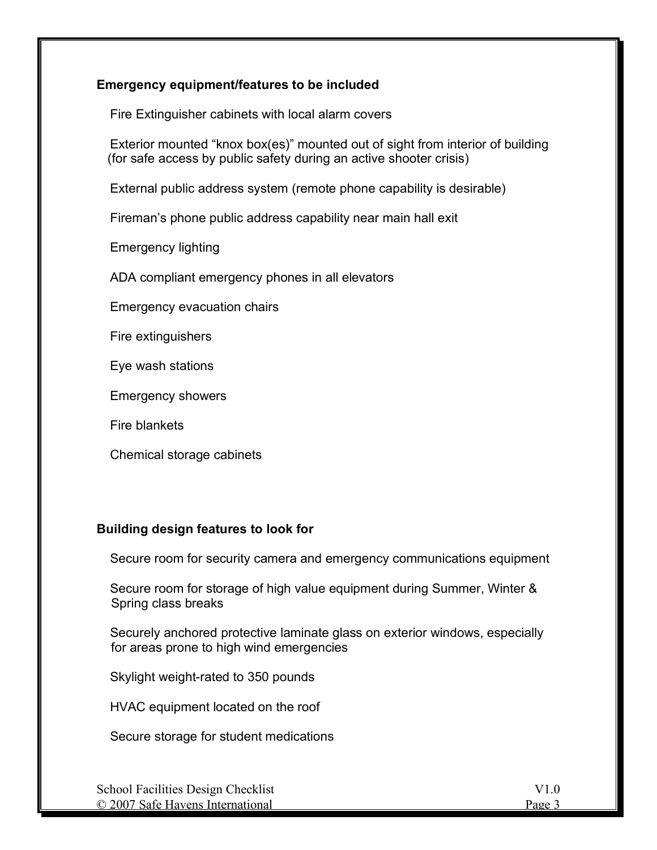## **Emergency equipment/features to be included**

Fire Extinguisher cabinets with local alarm covers

 Exterior mounted "knox box(es)" mounted out of sight from interior of building (for safe access by public safety during an active shooter crisis)

External public address system (remote phone capability is desirable)

Fireman's phone public address capability near main hall exit

Emergency lighting

ADA compliant emergency phones in all elevators

Emergency evacuation chairs

Fire extinguishers

Eye wash stations

Emergency showers

Fire blankets

Chemical storage cabinets

#### **Building design features to look for**

Secure room for security camera and emergency communications equipment

 Secure room for storage of high value equipment during Summer, Winter & Spring class breaks

 Securely anchored protective laminate glass on exterior windows, especially for areas prone to high wind emergencies

Skylight weight-rated to 350 pounds

HVAC equipment located on the roof

Secure storage for student medications

| School Facilities Design Checklist | V1 0   |
|------------------------------------|--------|
| © 2007 Safe Havens International   | Page 3 |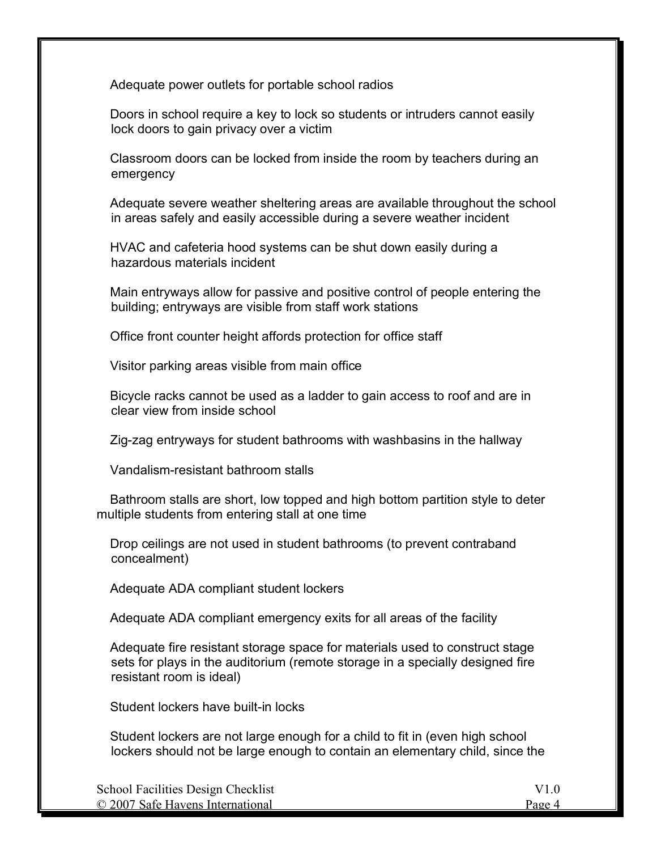Adequate power outlets for portable school radios

 Doors in school require a key to lock so students or intruders cannot easily lock doors to gain privacy over a victim

 Classroom doors can be locked from inside the room by teachers during an emergency

 Adequate severe weather sheltering areas are available throughout the school in areas safely and easily accessible during a severe weather incident

 HVAC and cafeteria hood systems can be shut down easily during a hazardous materials incident

 Main entryways allow for passive and positive control of people entering the building; entryways are visible from staff work stations

Office front counter height affords protection for office staff

Visitor parking areas visible from main office

 Bicycle racks cannot be used as a ladder to gain access to roof and are in clear view from inside school

Zig-zag entryways for student bathrooms with washbasins in the hallway

Vandalism-resistant bathroom stalls

 Bathroom stalls are short, low topped and high bottom partition style to deter multiple students from entering stall at one time

 Drop ceilings are not used in student bathrooms (to prevent contraband concealment)

Adequate ADA compliant student lockers

Adequate ADA compliant emergency exits for all areas of the facility

 Adequate fire resistant storage space for materials used to construct stage sets for plays in the auditorium (remote storage in a specially designed fire resistant room is ideal)

Student lockers have built-in locks

 Student lockers are not large enough for a child to fit in (even high school lockers should not be large enough to contain an elementary child, since the

| <b>School Facilities Design Checklist</b> |        |
|-------------------------------------------|--------|
| © 2007 Safe Havens International          | Page 4 |